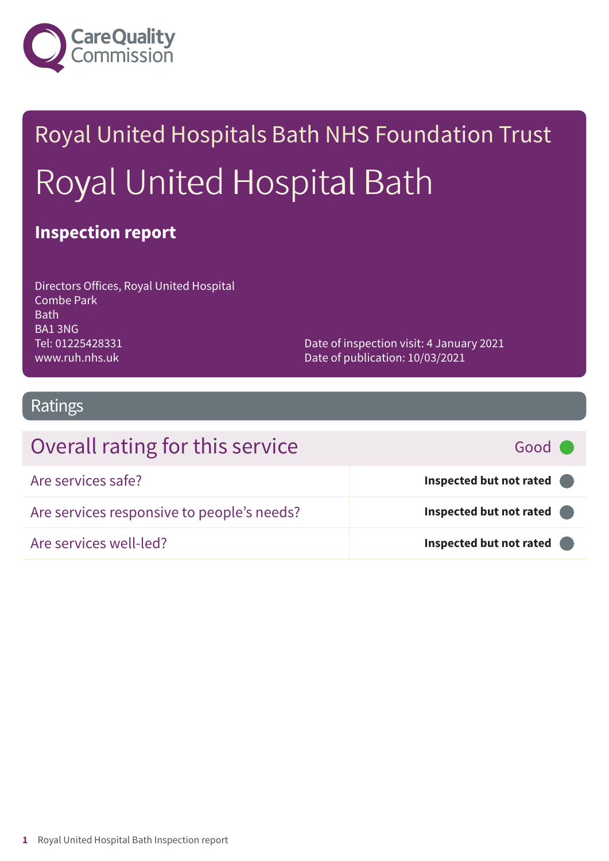

# Royal United Hospitals Bath NHS Foundation Trust Royal United Hospital Bath

### **Inspection report**

| Directors Offices, Royal United Hospital |
|------------------------------------------|
| <b>Combe Park</b>                        |
| <b>Bath</b>                              |
| BA13NG                                   |
| Tel: 01225428331                         |
| www.ruh.nhs.uk                           |

Date of inspection visit: 4 January 2021 Date of publication: 10/03/2021

### Ratings

| Overall rating for this service            | Good C                  |
|--------------------------------------------|-------------------------|
| Are services safe?                         | Inspected but not rated |
| Are services responsive to people's needs? | Inspected but not rated |
| Are services well-led?                     | Inspected but not rated |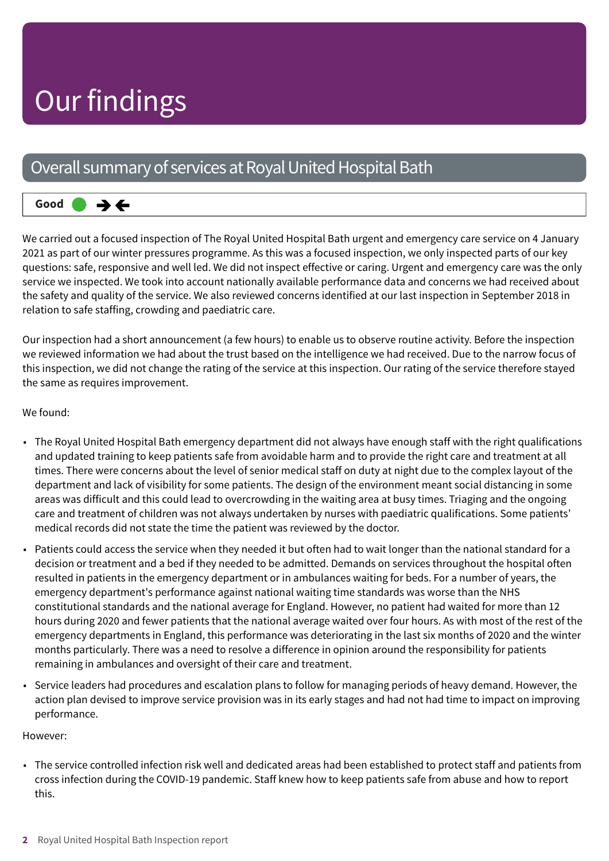## Our findings

### Overall summary of services at Royal United Hospital Bath

#### **Good –––** うそ

We carried out a focused inspection of The Royal United Hospital Bath urgent and emergency care service on 4 January 2021 as part of our winter pressures programme. As this was a focused inspection, we only inspected parts of our key questions: safe, responsive and well led. We did not inspect effective or caring. Urgent and emergency care was the only service we inspected. We took into account nationally available performance data and concerns we had received about the safety and quality of the service. We also reviewed concerns identified at our last inspection in September 2018 in relation to safe staffing, crowding and paediatric care.

Our inspection had a short announcement (a few hours) to enable us to observe routine activity. Before the inspection we reviewed information we had about the trust based on the intelligence we had received. Due to the narrow focus of this inspection, we did not change the rating of the service at this inspection. Our rating of the service therefore stayed the same as requires improvement.

#### We found:

- The Royal United Hospital Bath emergency department did not always have enough staff with the right qualifications and updated training to keep patients safe from avoidable harm and to provide the right care and treatment at all times. There were concerns about the level of senior medical staff on duty at night due to the complex layout of the department and lack of visibility for some patients. The design of the environment meant social distancing in some areas was difficult and this could lead to overcrowding in the waiting area at busy times. Triaging and the ongoing care and treatment of children was not always undertaken by nurses with paediatric qualifications. Some patients' medical records did not state the time the patient was reviewed by the doctor.
- Patients could access the service when they needed it but often had to wait longer than the national standard for a decision or treatment and a bed if they needed to be admitted. Demands on services throughout the hospital often resulted in patients in the emergency department or in ambulances waiting for beds. For a number of years, the emergency department's performance against national waiting time standards was worse than the NHS constitutional standards and the national average for England. However, no patient had waited for more than 12 hours during 2020 and fewer patients that the national average waited over four hours. As with most of the rest of the emergency departments in England, this performance was deteriorating in the last six months of 2020 and the winter months particularly. There was a need to resolve a difference in opinion around the responsibility for patients remaining in ambulances and oversight of their care and treatment.
- Service leaders had procedures and escalation plans to follow for managing periods of heavy demand. However, the action plan devised to improve service provision was in its early stages and had not had time to impact on improving performance.

#### However:

• The service controlled infection risk well and dedicated areas had been established to protect staff and patients from cross infection during the COVID-19 pandemic. Staff knew how to keep patients safe from abuse and how to report this.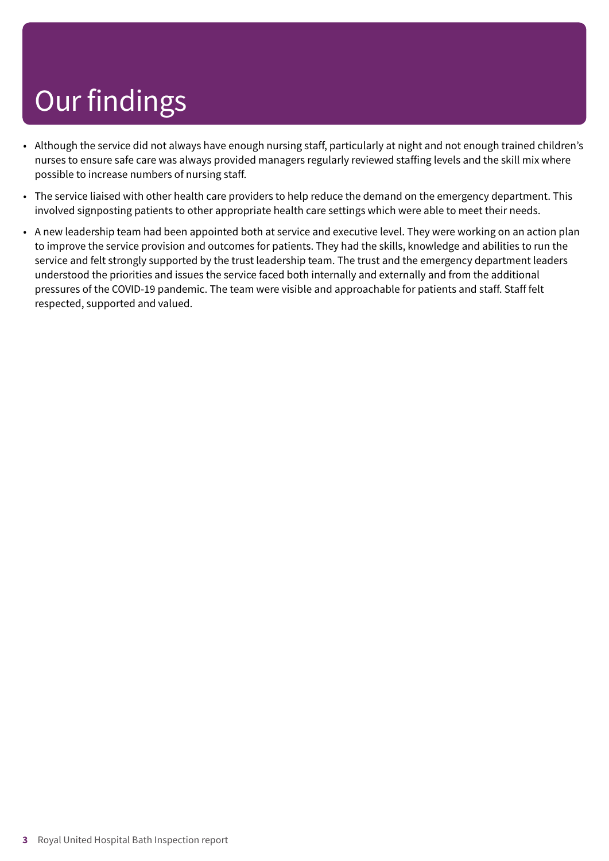# Our findings

- Although the service did not always have enough nursing staff, particularly at night and not enough trained children's nurses to ensure safe care was always provided managers regularly reviewed staffing levels and the skill mix where possible to increase numbers of nursing staff.
- The service liaised with other health care providers to help reduce the demand on the emergency department. This involved signposting patients to other appropriate health care settings which were able to meet their needs.
- A new leadership team had been appointed both at service and executive level. They were working on an action plan to improve the service provision and outcomes for patients. They had the skills, knowledge and abilities to run the service and felt strongly supported by the trust leadership team. The trust and the emergency department leaders understood the priorities and issues the service faced both internally and externally and from the additional pressures of the COVID-19 pandemic. The team were visible and approachable for patients and staff. Staff felt respected, supported and valued.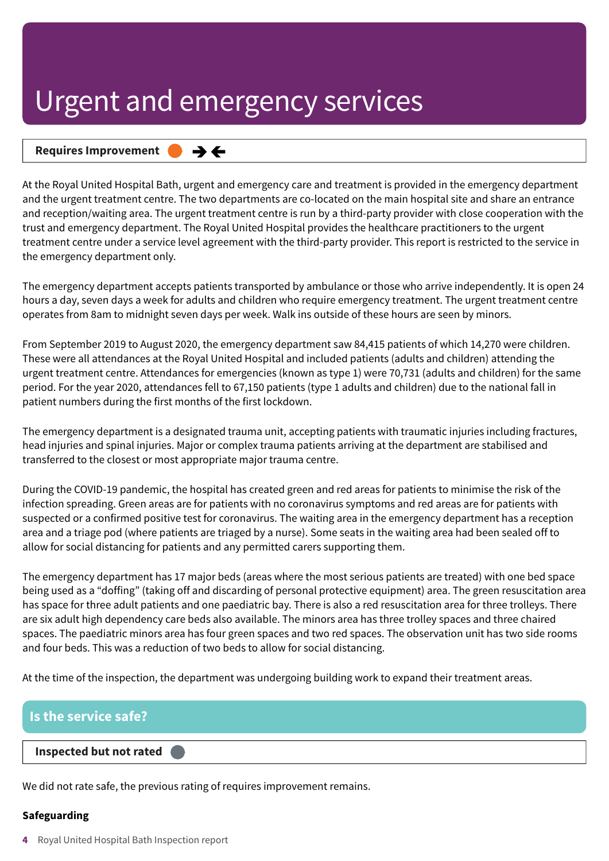#### **Requires Improvement –––**  $\rightarrow$   $\leftarrow$

At the Royal United Hospital Bath, urgent and emergency care and treatment is provided in the emergency department and the urgent treatment centre. The two departments are co-located on the main hospital site and share an entrance and reception/waiting area. The urgent treatment centre is run by a third-party provider with close cooperation with the trust and emergency department. The Royal United Hospital provides the healthcare practitioners to the urgent treatment centre under a service level agreement with the third-party provider. This report is restricted to the service in the emergency department only.

The emergency department accepts patients transported by ambulance or those who arrive independently. It is open 24 hours a day, seven days a week for adults and children who require emergency treatment. The urgent treatment centre operates from 8am to midnight seven days per week. Walk ins outside of these hours are seen by minors.

From September 2019 to August 2020, the emergency department saw 84,415 patients of which 14,270 were children. These were all attendances at the Royal United Hospital and included patients (adults and children) attending the urgent treatment centre. Attendances for emergencies (known as type 1) were 70,731 (adults and children) for the same period. For the year 2020, attendances fell to 67,150 patients (type 1 adults and children) due to the national fall in patient numbers during the first months of the first lockdown.

The emergency department is a designated trauma unit, accepting patients with traumatic injuries including fractures, head injuries and spinal injuries. Major or complex trauma patients arriving at the department are stabilised and transferred to the closest or most appropriate major trauma centre.

During the COVID-19 pandemic, the hospital has created green and red areas for patients to minimise the risk of the infection spreading. Green areas are for patients with no coronavirus symptoms and red areas are for patients with suspected or a confirmed positive test for coronavirus. The waiting area in the emergency department has a reception area and a triage pod (where patients are triaged by a nurse). Some seats in the waiting area had been sealed off to allow for social distancing for patients and any permitted carers supporting them.

The emergency department has 17 major beds (areas where the most serious patients are treated) with one bed space being used as a "doffing" (taking off and discarding of personal protective equipment) area. The green resuscitation area has space for three adult patients and one paediatric bay. There is also a red resuscitation area for three trolleys. There are six adult high dependency care beds also available. The minors area has three trolley spaces and three chaired spaces. The paediatric minors area has four green spaces and two red spaces. The observation unit has two side rooms and four beds. This was a reduction of two beds to allow for social distancing.

At the time of the inspection, the department was undergoing building work to expand their treatment areas.

### **Is the service safe?**

#### **Inspected but not rated –––**

We did not rate safe, the previous rating of requires improvement remains.

#### **Safeguarding**

**4** Royal United Hospital Bath Inspection report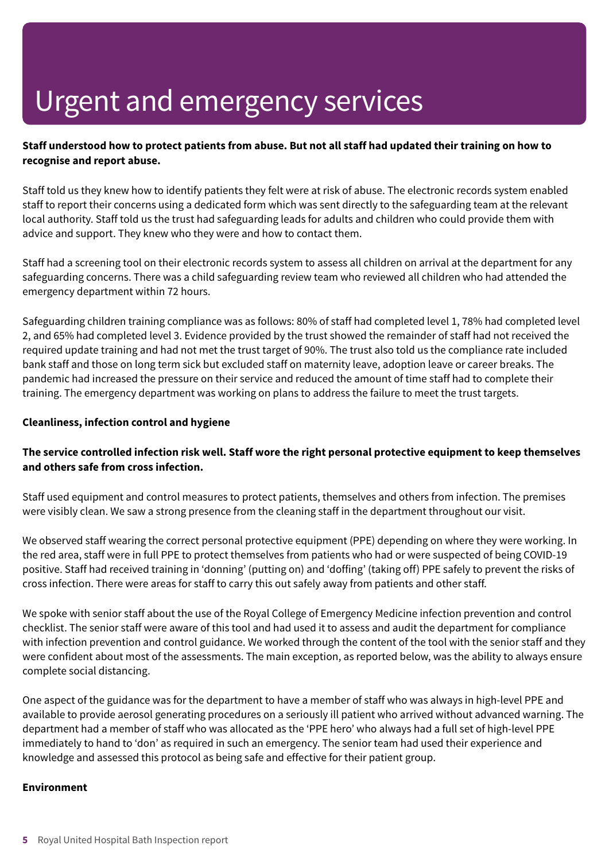#### Staff understood how to protect patients from abuse. But not all staff had updated their training on how to **recognise and report abuse.**

Staff told us they knew how to identify patients they felt were at risk of abuse. The electronic records system enabled staff to report their concerns using a dedicated form which was sent directly to the safeguarding team at the relevant local authority. Staff told us the trust had safeguarding leads for adults and children who could provide them with advice and support. They knew who they were and how to contact them.

Staff had a screening tool on their electronic records system to assess all children on arrival at the department for any safeguarding concerns. There was a child safeguarding review team who reviewed all children who had attended the emergency department within 72 hours.

Safeguarding children training compliance was as follows: 80% of staff had completed level 1, 78% had completed level 2, and 65% had completed level 3. Evidence provided by the trust showed the remainder of staff had not received the required update training and had not met the trust target of 90%. The trust also told us the compliance rate included bank staff and those on long term sick but excluded staff on maternity leave, adoption leave or career breaks. The pandemic had increased the pressure on their service and reduced the amount of time staff had to complete their training. The emergency department was working on plans to address the failure to meet the trust targets.

#### **Cleanliness, infection control and hygiene**

#### The service controlled infection risk well. Staff wore the right personal protective equipment to keep themselves **and others safe from cross infection.**

Staff used equipment and control measures to protect patients, themselves and others from infection. The premises were visibly clean. We saw a strong presence from the cleaning staff in the department throughout our visit.

We observed staff wearing the correct personal protective equipment (PPE) depending on where they were working. In the red area, staff were in full PPE to protect themselves from patients who had or were suspected of being COVID-19 positive. Staff had received training in 'donning' (putting on) and 'doffing' (taking off) PPE safely to prevent the risks of cross infection. There were areas for staff to carry this out safely away from patients and other staff.

We spoke with senior staff about the use of the Royal College of Emergency Medicine infection prevention and control checklist. The senior staff were aware of this tool and had used it to assess and audit the department for compliance with infection prevention and control guidance. We worked through the content of the tool with the senior staff and they were confident about most of the assessments. The main exception, as reported below, was the ability to always ensure complete social distancing.

One aspect of the guidance was for the department to have a member of staff who was always in high-level PPE and available to provide aerosol generating procedures on a seriously ill patient who arrived without advanced warning. The department had a member of staff who was allocated as the 'PPE hero' who always had a full set of high-level PPE immediately to hand to 'don' as required in such an emergency. The senior team had used their experience and knowledge and assessed this protocol as being safe and effective for their patient group.

#### **Environment**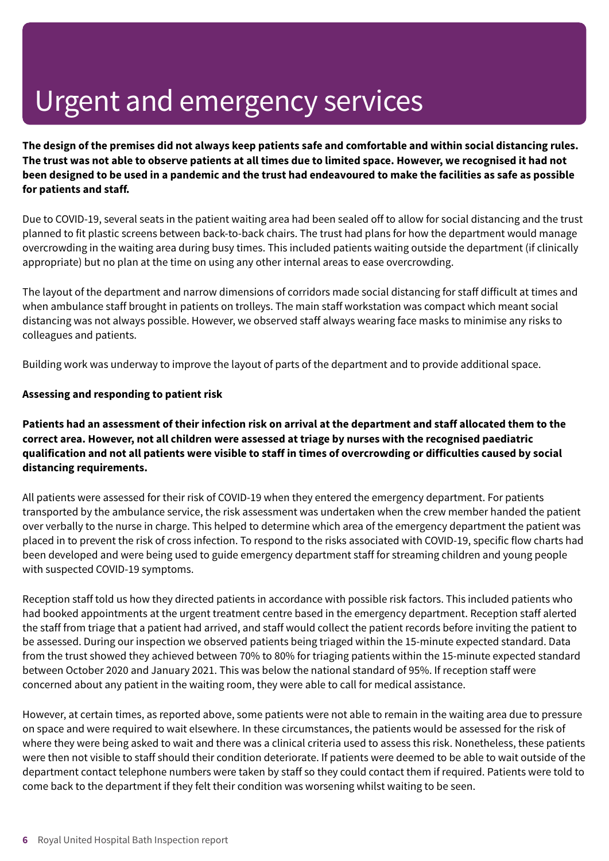The design of the premises did not always keep patients safe and comfortable and within social distancing rules. The trust was not able to observe patients at all times due to limited space. However, we recognised it had not been designed to be used in a pandemic and the trust had endeavoured to make the facilities as safe as possible **for patients and staff.**

Due to COVID-19, several seats in the patient waiting area had been sealed off to allow for social distancing and the trust planned to fit plastic screens between back-to-back chairs. The trust had plans for how the department would manage overcrowding in the waiting area during busy times. This included patients waiting outside the department (if clinically appropriate) but no plan at the time on using any other internal areas to ease overcrowding.

The layout of the department and narrow dimensions of corridors made social distancing for staff difficult at times and when ambulance staff brought in patients on trolleys. The main staff workstation was compact which meant social distancing was not always possible. However, we observed staff always wearing face masks to minimise any risks to colleagues and patients.

Building work was underway to improve the layout of parts of the department and to provide additional space.

#### **Assessing and responding to patient risk**

Patients had an assessment of their infection risk on arrival at the department and staff allocated them to the **correct area. However, not all children were assessed at triage by nurses with the recognised paediatric** qualification and not all patients were visible to staff in times of overcrowding or difficulties caused by social **distancing requirements.**

All patients were assessed for their risk of COVID-19 when they entered the emergency department. For patients transported by the ambulance service, the risk assessment was undertaken when the crew member handed the patient over verbally to the nurse in charge. This helped to determine which area of the emergency department the patient was placed in to prevent the risk of cross infection. To respond to the risks associated with COVID-19, specific flow charts had been developed and were being used to guide emergency department staff for streaming children and young people with suspected COVID-19 symptoms.

Reception staff told us how they directed patients in accordance with possible risk factors. This included patients who had booked appointments at the urgent treatment centre based in the emergency department. Reception staff alerted the staff from triage that a patient had arrived, and staff would collect the patient records before inviting the patient to be assessed. During our inspection we observed patients being triaged within the 15-minute expected standard. Data from the trust showed they achieved between 70% to 80% for triaging patients within the 15-minute expected standard between October 2020 and January 2021. This was below the national standard of 95%. If reception staff were concerned about any patient in the waiting room, they were able to call for medical assistance.

However, at certain times, as reported above, some patients were not able to remain in the waiting area due to pressure on space and were required to wait elsewhere. In these circumstances, the patients would be assessed for the risk of where they were being asked to wait and there was a clinical criteria used to assess this risk. Nonetheless, these patients were then not visible to staff should their condition deteriorate. If patients were deemed to be able to wait outside of the department contact telephone numbers were taken by staff so they could contact them if required. Patients were told to come back to the department if they felt their condition was worsening whilst waiting to be seen.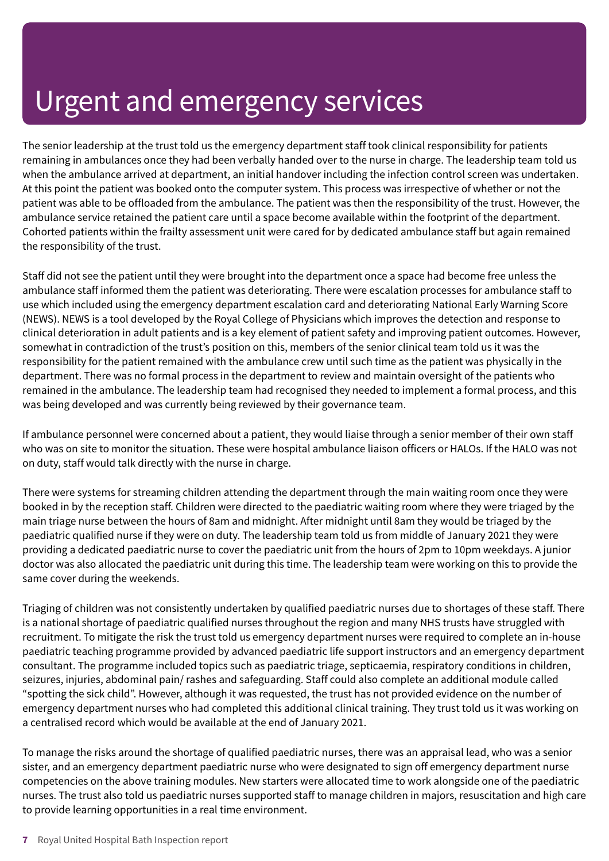The senior leadership at the trust told us the emergency department staff took clinical responsibility for patients remaining in ambulances once they had been verbally handed over to the nurse in charge. The leadership team told us when the ambulance arrived at department, an initial handover including the infection control screen was undertaken. At this point the patient was booked onto the computer system. This process was irrespective of whether or not the patient was able to be offloaded from the ambulance. The patient was then the responsibility of the trust. However, the ambulance service retained the patient care until a space become available within the footprint of the department. Cohorted patients within the frailty assessment unit were cared for by dedicated ambulance staff but again remained the responsibility of the trust.

Staff did not see the patient until they were brought into the department once a space had become free unless the ambulance staff informed them the patient was deteriorating. There were escalation processes for ambulance staff to use which included using the emergency department escalation card and deteriorating National Early Warning Score (NEWS). NEWS is a tool developed by the Royal College of Physicians which improves the detection and response to clinical deterioration in adult patients and is a key element of patient safety and improving patient outcomes. However, somewhat in contradiction of the trust's position on this, members of the senior clinical team told us it was the responsibility for the patient remained with the ambulance crew until such time as the patient was physically in the department. There was no formal process in the department to review and maintain oversight of the patients who remained in the ambulance. The leadership team had recognised they needed to implement a formal process, and this was being developed and was currently being reviewed by their governance team.

If ambulance personnel were concerned about a patient, they would liaise through a senior member of their own staff who was on site to monitor the situation. These were hospital ambulance liaison officers or HALOs. If the HALO was not on duty, staff would talk directly with the nurse in charge.

There were systems for streaming children attending the department through the main waiting room once they were booked in by the reception staff. Children were directed to the paediatric waiting room where they were triaged by the main triage nurse between the hours of 8am and midnight. After midnight until 8am they would be triaged by the paediatric qualified nurse if they were on duty. The leadership team told us from middle of January 2021 they were providing a dedicated paediatric nurse to cover the paediatric unit from the hours of 2pm to 10pm weekdays. A junior doctor was also allocated the paediatric unit during this time. The leadership team were working on this to provide the same cover during the weekends.

Triaging of children was not consistently undertaken by qualified paediatric nurses due to shortages of these staff. There is a national shortage of paediatric qualified nurses throughout the region and many NHS trusts have struggled with recruitment. To mitigate the risk the trust told us emergency department nurses were required to complete an in-house paediatric teaching programme provided by advanced paediatric life support instructors and an emergency department consultant. The programme included topics such as paediatric triage, septicaemia, respiratory conditions in children, seizures, injuries, abdominal pain/ rashes and safeguarding. Staff could also complete an additional module called "spotting the sick child". However, although it was requested, the trust has not provided evidence on the number of emergency department nurses who had completed this additional clinical training. They trust told us it was working on a centralised record which would be available at the end of January 2021.

To manage the risks around the shortage of qualified paediatric nurses, there was an appraisal lead, who was a senior sister, and an emergency department paediatric nurse who were designated to sign off emergency department nurse competencies on the above training modules. New starters were allocated time to work alongside one of the paediatric nurses. The trust also told us paediatric nurses supported staff to manage children in majors, resuscitation and high care to provide learning opportunities in a real time environment.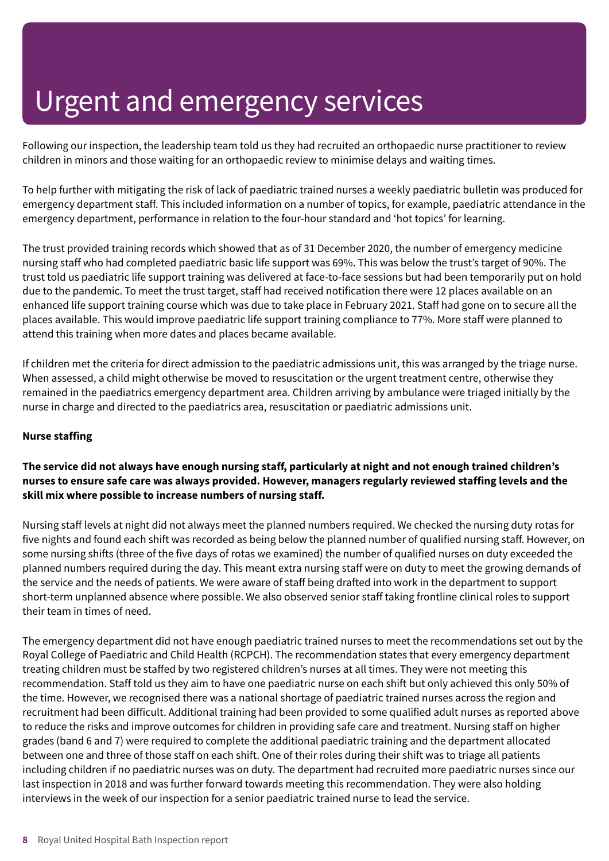Following our inspection, the leadership team told us they had recruited an orthopaedic nurse practitioner to review children in minors and those waiting for an orthopaedic review to minimise delays and waiting times.

To help further with mitigating the risk of lack of paediatric trained nurses a weekly paediatric bulletin was produced for emergency department staff. This included information on a number of topics, for example, paediatric attendance in the emergency department, performance in relation to the four-hour standard and 'hot topics' for learning.

The trust provided training records which showed that as of 31 December 2020, the number of emergency medicine nursing staff who had completed paediatric basic life support was 69%. This was below the trust's target of 90%. The trust told us paediatric life support training was delivered at face-to-face sessions but had been temporarily put on hold due to the pandemic. To meet the trust target, staff had received notification there were 12 places available on an enhanced life support training course which was due to take place in February 2021. Staff had gone on to secure all the places available. This would improve paediatric life support training compliance to 77%. More staff were planned to attend this training when more dates and places became available.

If children met the criteria for direct admission to the paediatric admissions unit, this was arranged by the triage nurse. When assessed, a child might otherwise be moved to resuscitation or the urgent treatment centre, otherwise they remained in the paediatrics emergency department area. Children arriving by ambulance were triaged initially by the nurse in charge and directed to the paediatrics area, resuscitation or paediatric admissions unit.

#### **Nurse staffing**

#### The service did not always have enough nursing staff, particularly at night and not enough trained children's **nurses to ensure safe care was always provided. However, managers regularly reviewed staffing levels and the skill mix where possible to increase numbers of nursing staff.**

Nursing staff levels at night did not always meet the planned numbers required. We checked the nursing duty rotas for five nights and found each shift was recorded as being below the planned number of qualified nursing staff. However, on some nursing shifts (three of the five days of rotas we examined) the number of qualified nurses on duty exceeded the planned numbers required during the day. This meant extra nursing staff were on duty to meet the growing demands of the service and the needs of patients. We were aware of staff being drafted into work in the department to support short-term unplanned absence where possible. We also observed senior staff taking frontline clinical roles to support their team in times of need.

The emergency department did not have enough paediatric trained nurses to meet the recommendations set out by the Royal College of Paediatric and Child Health (RCPCH). The recommendation states that every emergency department treating children must be staffed by two registered children's nurses at all times. They were not meeting this recommendation. Staff told us they aim to have one paediatric nurse on each shift but only achieved this only 50% of the time. However, we recognised there was a national shortage of paediatric trained nurses across the region and recruitment had been difficult. Additional training had been provided to some qualified adult nurses as reported above to reduce the risks and improve outcomes for children in providing safe care and treatment. Nursing staff on higher grades (band 6 and 7) were required to complete the additional paediatric training and the department allocated between one and three of those staff on each shift. One of their roles during their shift was to triage all patients including children if no paediatric nurses was on duty. The department had recruited more paediatric nurses since our last inspection in 2018 and was further forward towards meeting this recommendation. They were also holding interviews in the week of our inspection for a senior paediatric trained nurse to lead the service.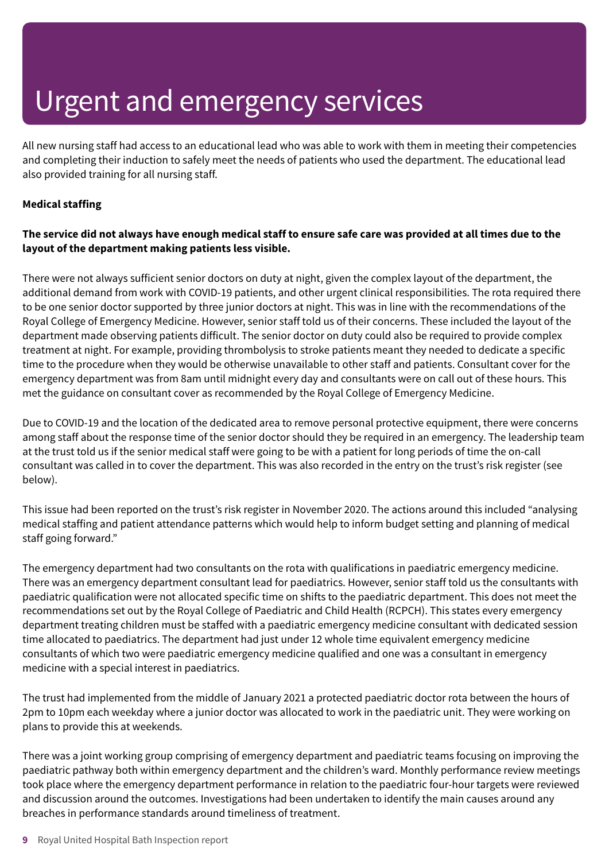All new nursing staff had access to an educational lead who was able to work with them in meeting their competencies and completing their induction to safely meet the needs of patients who used the department. The educational lead also provided training for all nursing staff.

#### **Medical staffing**

#### The service did not always have enough medical staff to ensure safe care was provided at all times due to the **layout of the department making patients less visible.**

There were not always sufficient senior doctors on duty at night, given the complex layout of the department, the additional demand from work with COVID-19 patients, and other urgent clinical responsibilities. The rota required there to be one senior doctor supported by three junior doctors at night. This was in line with the recommendations of the Royal College of Emergency Medicine. However, senior staff told us of their concerns. These included the layout of the department made observing patients difficult. The senior doctor on duty could also be required to provide complex treatment at night. For example, providing thrombolysis to stroke patients meant they needed to dedicate a specific time to the procedure when they would be otherwise unavailable to other staff and patients. Consultant cover for the emergency department was from 8am until midnight every day and consultants were on call out of these hours. This met the guidance on consultant cover as recommended by the Royal College of Emergency Medicine.

Due to COVID-19 and the location of the dedicated area to remove personal protective equipment, there were concerns among staff about the response time of the senior doctor should they be required in an emergency. The leadership team at the trust told us if the senior medical staff were going to be with a patient for long periods of time the on-call consultant was called in to cover the department. This was also recorded in the entry on the trust's risk register (see below).

This issue had been reported on the trust's risk register in November 2020. The actions around this included "analysing medical staffing and patient attendance patterns which would help to inform budget setting and planning of medical staff going forward."

The emergency department had two consultants on the rota with qualifications in paediatric emergency medicine. There was an emergency department consultant lead for paediatrics. However, senior staff told us the consultants with paediatric qualification were not allocated specific time on shifts to the paediatric department. This does not meet the recommendations set out by the Royal College of Paediatric and Child Health (RCPCH). This states every emergency department treating children must be staffed with a paediatric emergency medicine consultant with dedicated session time allocated to paediatrics. The department had just under 12 whole time equivalent emergency medicine consultants of which two were paediatric emergency medicine qualified and one was a consultant in emergency medicine with a special interest in paediatrics.

The trust had implemented from the middle of January 2021 a protected paediatric doctor rota between the hours of 2pm to 10pm each weekday where a junior doctor was allocated to work in the paediatric unit. They were working on plans to provide this at weekends.

There was a joint working group comprising of emergency department and paediatric teams focusing on improving the paediatric pathway both within emergency department and the children's ward. Monthly performance review meetings took place where the emergency department performance in relation to the paediatric four-hour targets were reviewed and discussion around the outcomes. Investigations had been undertaken to identify the main causes around any breaches in performance standards around timeliness of treatment.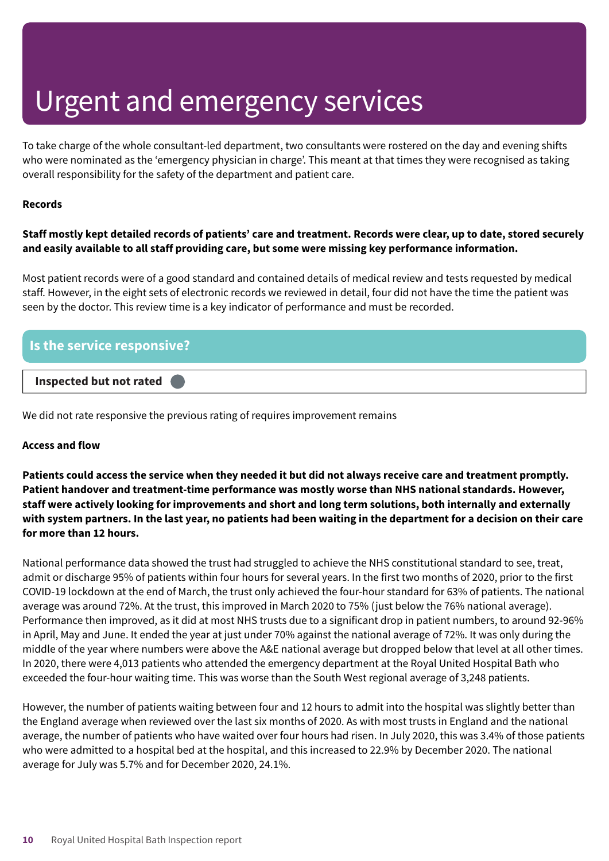To take charge of the whole consultant-led department, two consultants were rostered on the day and evening shifts who were nominated as the 'emergency physician in charge'. This meant at that times they were recognised as taking overall responsibility for the safety of the department and patient care.

#### **Records**

#### Staff mostly kept detailed records of patients' care and treatment. Records were clear, up to date, stored securely **and easily available to all staff providing care, but some were missing key performance information.**

Most patient records were of a good standard and contained details of medical review and tests requested by medical staff. However, in the eight sets of electronic records we reviewed in detail, four did not have the time the patient was seen by the doctor. This review time is a key indicator of performance and must be recorded.

| Is the service responsive? |  |
|----------------------------|--|
| Inspected but not rated    |  |

We did not rate responsive the previous rating of requires improvement remains

#### **Access and flow**

Patients could access the service when they needed it but did not always receive care and treatment promptly. **Patient handover and treatment-time performance was mostly worse than NHS national standards. However, staff were actively looking for improvements and short and long term solutions, both internally and externally** with system partners. In the last year, no patients had been waiting in the department for a decision on their care **for more than 12 hours.**

National performance data showed the trust had struggled to achieve the NHS constitutional standard to see, treat, admit or discharge 95% of patients within four hours for several years. In the first two months of 2020, prior to the first COVID-19 lockdown at the end of March, the trust only achieved the four-hour standard for 63% of patients. The national average was around 72%. At the trust, this improved in March 2020 to 75% (just below the 76% national average). Performance then improved, as it did at most NHS trusts due to a significant drop in patient numbers, to around 92-96% in April, May and June. It ended the year at just under 70% against the national average of 72%. It was only during the middle of the year where numbers were above the A&E national average but dropped below that level at all other times. In 2020, there were 4,013 patients who attended the emergency department at the Royal United Hospital Bath who exceeded the four-hour waiting time. This was worse than the South West regional average of 3,248 patients.

However, the number of patients waiting between four and 12 hours to admit into the hospital was slightly better than the England average when reviewed over the last six months of 2020. As with most trusts in England and the national average, the number of patients who have waited over four hours had risen. In July 2020, this was 3.4% of those patients who were admitted to a hospital bed at the hospital, and this increased to 22.9% by December 2020. The national average for July was 5.7% and for December 2020, 24.1%.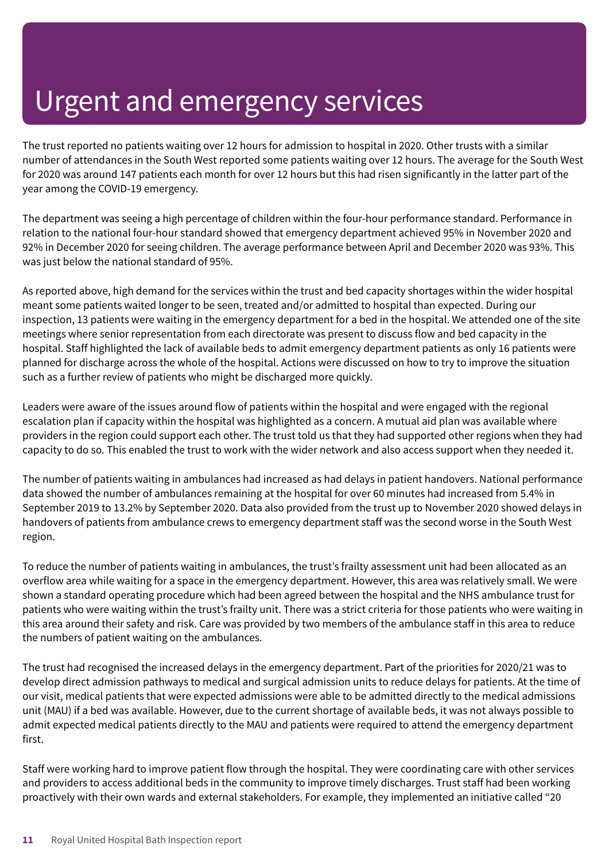The trust reported no patients waiting over 12 hours for admission to hospital in 2020. Other trusts with a similar number of attendances in the South West reported some patients waiting over 12 hours. The average for the South West for 2020 was around 147 patients each month for over 12 hours but this had risen significantly in the latter part of the year among the COVID-19 emergency.

The department was seeing a high percentage of children within the four-hour performance standard. Performance in relation to the national four-hour standard showed that emergency department achieved 95% in November 2020 and 92% in December 2020 for seeing children. The average performance between April and December 2020 was 93%. This was just below the national standard of 95%.

As reported above, high demand for the services within the trust and bed capacity shortages within the wider hospital meant some patients waited longer to be seen, treated and/or admitted to hospital than expected. During our inspection, 13 patients were waiting in the emergency department for a bed in the hospital. We attended one of the site meetings where senior representation from each directorate was present to discuss flow and bed capacity in the hospital. Staff highlighted the lack of available beds to admit emergency department patients as only 16 patients were planned for discharge across the whole of the hospital. Actions were discussed on how to try to improve the situation such as a further review of patients who might be discharged more quickly.

Leaders were aware of the issues around flow of patients within the hospital and were engaged with the regional escalation plan if capacity within the hospital was highlighted as a concern. A mutual aid plan was available where providers in the region could support each other. The trust told us that they had supported other regions when they had capacity to do so. This enabled the trust to work with the wider network and also access support when they needed it.

The number of patients waiting in ambulances had increased as had delays in patient handovers. National performance data showed the number of ambulances remaining at the hospital for over 60 minutes had increased from 5.4% in September 2019 to 13.2% by September 2020. Data also provided from the trust up to November 2020 showed delays in handovers of patients from ambulance crews to emergency department staff was the second worse in the South West region.

To reduce the number of patients waiting in ambulances, the trust's frailty assessment unit had been allocated as an overflow area while waiting for a space in the emergency department. However, this area was relatively small. We were shown a standard operating procedure which had been agreed between the hospital and the NHS ambulance trust for patients who were waiting within the trust's frailty unit. There was a strict criteria for those patients who were waiting in this area around their safety and risk. Care was provided by two members of the ambulance staff in this area to reduce the numbers of patient waiting on the ambulances.

The trust had recognised the increased delays in the emergency department. Part of the priorities for 2020/21 was to develop direct admission pathways to medical and surgical admission units to reduce delays for patients. At the time of our visit, medical patients that were expected admissions were able to be admitted directly to the medical admissions unit (MAU) if a bed was available. However, due to the current shortage of available beds, it was not always possible to admit expected medical patients directly to the MAU and patients were required to attend the emergency department first.

Staff were working hard to improve patient flow through the hospital. They were coordinating care with other services and providers to access additional beds in the community to improve timely discharges. Trust staff had been working proactively with their own wards and external stakeholders. For example, they implemented an initiative called "20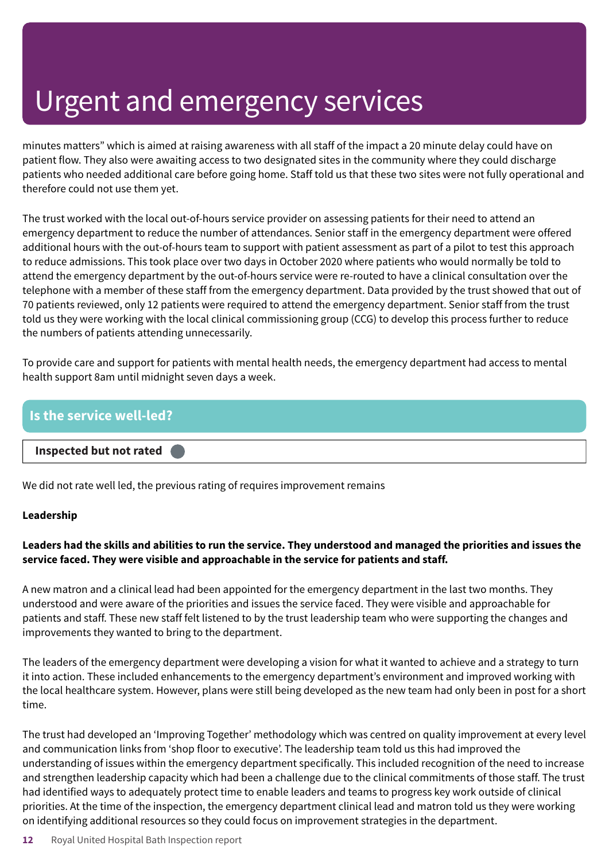minutes matters" which is aimed at raising awareness with all staff of the impact a 20 minute delay could have on patient flow. They also were awaiting access to two designated sites in the community where they could discharge patients who needed additional care before going home. Staff told us that these two sites were not fully operational and therefore could not use them yet.

The trust worked with the local out-of-hours service provider on assessing patients for their need to attend an emergency department to reduce the number of attendances. Senior staff in the emergency department were offered additional hours with the out-of-hours team to support with patient assessment as part of a pilot to test this approach to reduce admissions. This took place over two days in October 2020 where patients who would normally be told to attend the emergency department by the out-of-hours service were re-routed to have a clinical consultation over the telephone with a member of these staff from the emergency department. Data provided by the trust showed that out of 70 patients reviewed, only 12 patients were required to attend the emergency department. Senior staff from the trust told us they were working with the local clinical commissioning group (CCG) to develop this process further to reduce the numbers of patients attending unnecessarily.

To provide care and support for patients with mental health needs, the emergency department had access to mental health support 8am until midnight seven days a week.

# **Is the service well-led? Inspected but not rated –––**

We did not rate well led, the previous rating of requires improvement remains

#### **Leadership**

### Leaders had the skills and abilities to run the service. They understood and managed the priorities and issues the **service faced. They were visible and approachable in the service for patients and staff.**

A new matron and a clinical lead had been appointed for the emergency department in the last two months. They understood and were aware of the priorities and issues the service faced. They were visible and approachable for patients and staff. These new staff felt listened to by the trust leadership team who were supporting the changes and improvements they wanted to bring to the department.

The leaders of the emergency department were developing a vision for what it wanted to achieve and a strategy to turn it into action. These included enhancements to the emergency department's environment and improved working with the local healthcare system. However, plans were still being developed as the new team had only been in post for a short time.

The trust had developed an 'Improving Together' methodology which was centred on quality improvement at every level and communication links from 'shop floor to executive'. The leadership team told us this had improved the understanding of issues within the emergency department specifically. This included recognition of the need to increase and strengthen leadership capacity which had been a challenge due to the clinical commitments of those staff. The trust had identified ways to adequately protect time to enable leaders and teams to progress key work outside of clinical priorities. At the time of the inspection, the emergency department clinical lead and matron told us they were working on identifying additional resources so they could focus on improvement strategies in the department.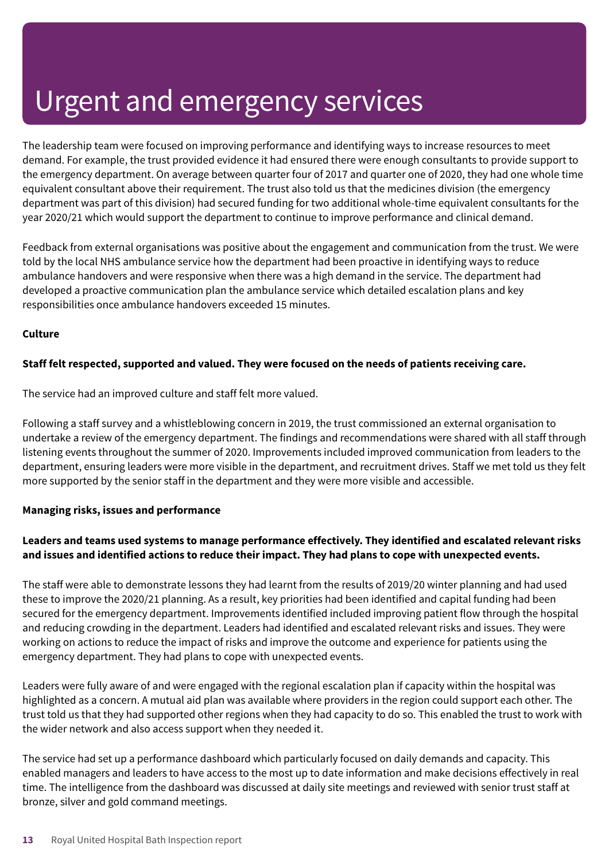The leadership team were focused on improving performance and identifying ways to increase resources to meet demand. For example, the trust provided evidence it had ensured there were enough consultants to provide support to the emergency department. On average between quarter four of 2017 and quarter one of 2020, they had one whole time equivalent consultant above their requirement. The trust also told us that the medicines division (the emergency department was part of this division) had secured funding for two additional whole-time equivalent consultants for the year 2020/21 which would support the department to continue to improve performance and clinical demand.

Feedback from external organisations was positive about the engagement and communication from the trust. We were told by the local NHS ambulance service how the department had been proactive in identifying ways to reduce ambulance handovers and were responsive when there was a high demand in the service. The department had developed a proactive communication plan the ambulance service which detailed escalation plans and key responsibilities once ambulance handovers exceeded 15 minutes.

#### **Culture**

#### **Staff felt respected, supported and valued. They were focused on the needs of patients receiving care.**

The service had an improved culture and staff felt more valued.

Following a staff survey and a whistleblowing concern in 2019, the trust commissioned an external organisation to undertake a review of the emergency department. The findings and recommendations were shared with all staff through listening events throughout the summer of 2020. Improvements included improved communication from leaders to the department, ensuring leaders were more visible in the department, and recruitment drives. Staff we met told us they felt more supported by the senior staff in the department and they were more visible and accessible.

#### **Managing risks, issues and performance**

### **Leaders and teams used systems to manage performance effectively. They identified and escalated relevant risks and issues and identified actions to reduce their impact. They had plans to cope with unexpected events.**

The staff were able to demonstrate lessons they had learnt from the results of 2019/20 winter planning and had used these to improve the 2020/21 planning. As a result, key priorities had been identified and capital funding had been secured for the emergency department. Improvements identified included improving patient flow through the hospital and reducing crowding in the department. Leaders had identified and escalated relevant risks and issues. They were working on actions to reduce the impact of risks and improve the outcome and experience for patients using the emergency department. They had plans to cope with unexpected events.

Leaders were fully aware of and were engaged with the regional escalation plan if capacity within the hospital was highlighted as a concern. A mutual aid plan was available where providers in the region could support each other. The trust told us that they had supported other regions when they had capacity to do so. This enabled the trust to work with the wider network and also access support when they needed it.

The service had set up a performance dashboard which particularly focused on daily demands and capacity. This enabled managers and leaders to have access to the most up to date information and make decisions effectively in real time. The intelligence from the dashboard was discussed at daily site meetings and reviewed with senior trust staff at bronze, silver and gold command meetings.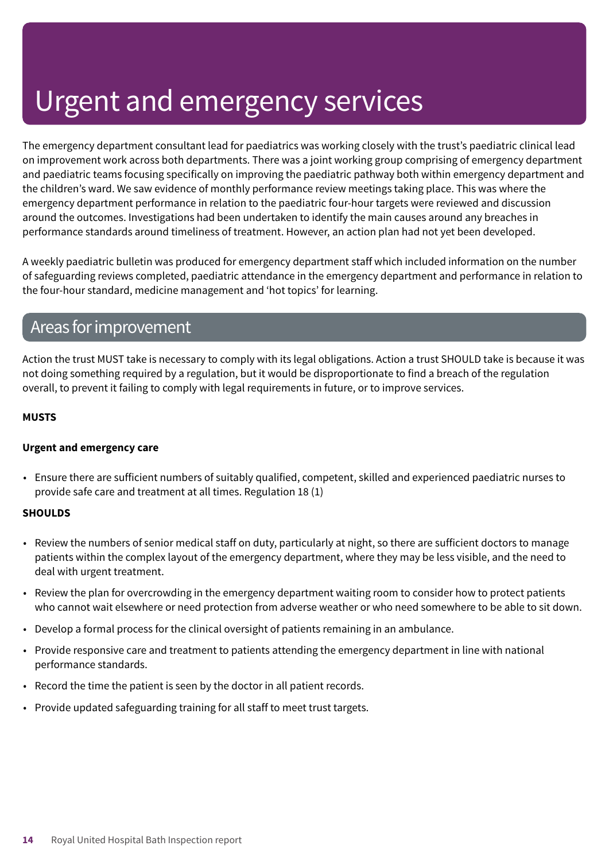The emergency department consultant lead for paediatrics was working closely with the trust's paediatric clinical lead on improvement work across both departments. There was a joint working group comprising of emergency department and paediatric teams focusing specifically on improving the paediatric pathway both within emergency department and the children's ward. We saw evidence of monthly performance review meetings taking place. This was where the emergency department performance in relation to the paediatric four-hour targets were reviewed and discussion around the outcomes. Investigations had been undertaken to identify the main causes around any breaches in performance standards around timeliness of treatment. However, an action plan had not yet been developed.

A weekly paediatric bulletin was produced for emergency department staff which included information on the number of safeguarding reviews completed, paediatric attendance in the emergency department and performance in relation to the four-hour standard, medicine management and 'hot topics' for learning.

### Areas forimprovement

Action the trust MUST take is necessary to comply with its legal obligations. Action a trust SHOULD take is because it was not doing something required by a regulation, but it would be disproportionate to find a breach of the regulation overall, to prevent it failing to comply with legal requirements in future, or to improve services.

#### **MUSTS**

#### **Urgent and emergency care**

• Ensure there are sufficient numbers of suitably qualified, competent, skilled and experienced paediatric nurses to provide safe care and treatment at all times. Regulation 18 (1)

#### **SHOULDS**

- Review the numbers of senior medical staff on duty, particularly at night, so there are sufficient doctors to manage patients within the complex layout of the emergency department, where they may be less visible, and the need to deal with urgent treatment.
- Review the plan for overcrowding in the emergency department waiting room to consider how to protect patients who cannot wait elsewhere or need protection from adverse weather or who need somewhere to be able to sit down.
- Develop a formal process for the clinical oversight of patients remaining in an ambulance.
- Provide responsive care and treatment to patients attending the emergency department in line with national performance standards.
- Record the time the patient is seen by the doctor in all patient records.
- Provide updated safeguarding training for all staff to meet trust targets.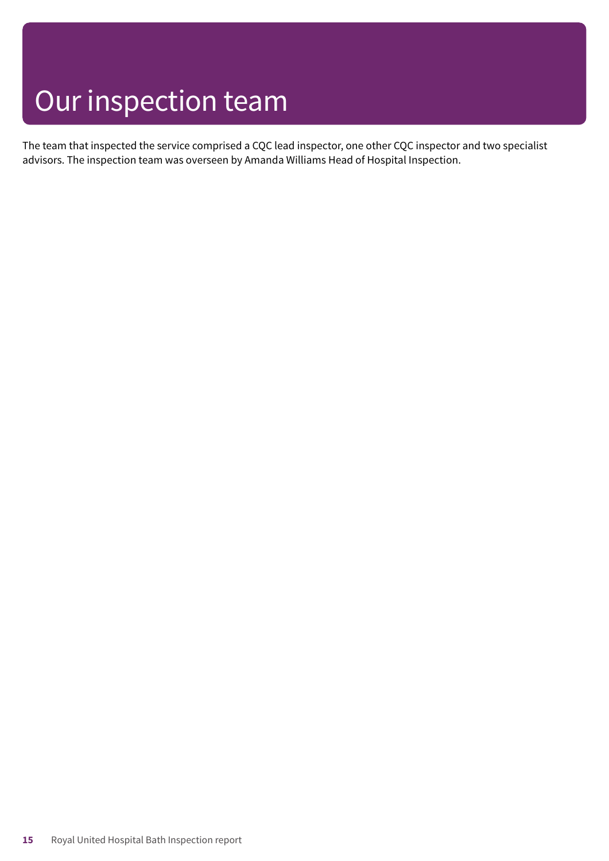## Our inspection team

The team that inspected the service comprised a CQC lead inspector, one other CQC inspector and two specialist advisors. The inspection team was overseen by Amanda Williams Head of Hospital Inspection.